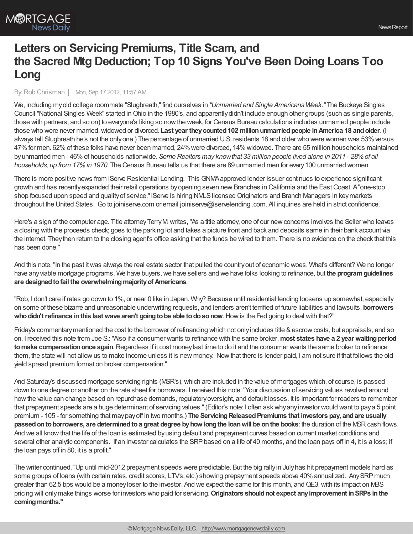## **Letters on Servicing Premiums, Title Scam, and the Sacred Mtg Deduction; Top 10 Signs You've Been Doing Loans Too Long**

## By:Rob Chrisman | Mon, Sep 17 2012, 11:57 AM

We, including myold college roommate "Slugbreath,"find ourselves in *"Unmarried and Single Americans Week."* The Buckeye Singles Council "National Singles Week" started inOhio in the 1980's, and apparentlydidn't include enough other groups (such as single parents, those with partners, and so on) to everyone's liking so nowthe week, for Census Bureau calculations includes unmarried people include those who were never married,widowed or divorced. **Last year theycounted102 millionunmarriedpeople inAmerica 18 andolder**. (I always tell Slugbreath he's not the only one.) The percentage of unmarried U.S. residents 18 and older who were women was 53% versus 47%for men. 62%of these folks have never been married, 24%were divorced, 14%widowed. There are 55 million households maintained byunmarried men - 46%of households nationwide. *Some Realtors may knowthat 33 million people lived alone in 2011 - 28%of all households, up from 17%in 1970*. The Census Bureau tells us that there are 89 unmarried men for every100 unmarried women.

There is more positive news from iServe Residential Lending. This GNMAapproved lender issuer continues to experience significant growth and has recently expanded their retail operations by opening seven new Branches in California and the East Coast. A "one-stop shop focused upon speed and quality of service," iServe is hiring NMLS licensed Originators and Branch Managers in keymarkets throughout the United States. Go to joiniserve.com or email joiniserve@iservelending .com. All inquiries are held in strict confidence.

Here's a sign of the computer age. Title attorney Terry M. writes, "As a title attorney, one of our new concerns involves the Seller who leaves a closing with the proceeds check; goes to the parking lot and takes a picture front and back and deposits same in their bank account via the internet. Theythen return to the closing agent's office asking that the funds be wired to them. There is no evidence on the check that this has been done."

And this note."In the past itwas always the real estate sector that pulled the countryout of economicwoes. What's different? We no longer have any viable mortgage programs. We have buyers, we have sellers and we have folks looking to refinance, but the program guidelines **are designedtofail the overwhelmingmajorityof Americans**.

"Rob, I don't care if rates go down to 1%, or near 0 like in Japan. Why? Because until residential lending loosens up somewhat, especially on some of these bizarre and unreasonable underwriting requests, and lenders aren't terrified of future liabilities and lawsuits, **borrowers who didn't refinance in this last wave aren't going to be able to do so now. How is the Fed going to deal with that?"** 

Friday's commentary mentioned the cost to the borrower of refinancing which not only includes title & escrow costs, but appraisals, and so on. I received this note from Joe S.:"Also if a consumer wants to refinance with the same broker,**most states have a 2 year waitingperiod tomake compensationonce again**.Regardless if it cost moneylast time to do it and the consumer wants the same broker to refinance them, the state will not allowus to make income unless it is new money. Nowthat there is lender paid, I am not sure if that follows the old yield spread premium format on broker compensation."

And Saturday's discussed mortgage servicing rights (MSR's), which are included in the value of mortgages which, of course, is passed down to one degree or another on the rate sheet for borrowers. I received this note."Your discussion of servicing values revolved around howthe value can change based on repurchase demands, regulatoryoversight, and default losses. It is important for readers to remember that prepayment speeds are a huge determinant of servicing values."(Editor's note: I often askwhyanyinvestor would want to paya 5 point premium - 105 - for something that maypayoff in two months.) **The ServicingReleasedPremiums that investors pay, andare usually passedontoborrowers, are determinedtoa great degree byhow longthe loanwill be onthe books**: the duration of the MSRcash flows. And we all knowthat the life of the loan is estimated byusing default and prepayment curves based on current market conditions and several other analytic components. If an investor calculates the SRP based on a life of 40 months, and the loan pays off in 4, it is a loss; if the loan pays off in 80, it is a profit."

The writer continued."Up until mid-2012 prepayment speeds were predictable. But the big rallyin Julyhas hit prepayment models hard as some groups of loans (with certain rates, credit scores, LTVs, etc.) showing prepayment speeds above 40% annualized. Any SRP much greater than 62.5 bps would be a money loser to the investor. And we expect the same for this month, and QE3, with its impact on MBS pricing will onlymake things worse for investors who paid for servicing.**Originators shouldnot expect anyimprovement inSRPs inthe** coming months."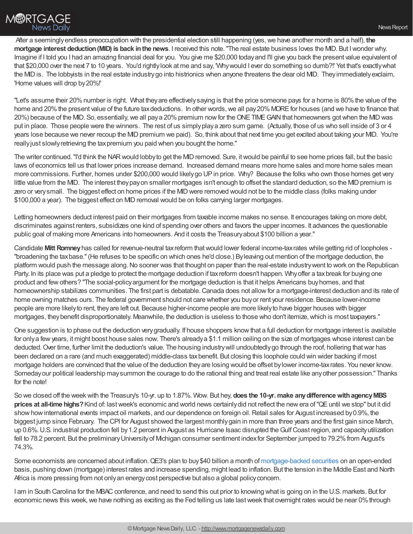

After a seeminglyendless preoccupation with the presidential election still happening (yes,we have another month and a half), **the mortgage interest deduction(MID) is back inthe news**. I received this note."The real estate business loves the MID. But Iwonder why. Imagine if I told you I had an amazing financial deal for you. You give me \$20,000 todayand I'll give you back the present value equivalent of that \$20,000 over the next 7 to 10 years. You'd rightlylook at me and say, 'Whywould I ever do something so dumb?!' Yet that's exactlywhat the MIDis. The lobbyists in the real estate industrygo into histrionics when anyone threatens the dear old MID. Theyimmediatelyexclaim, 'Home values will drop by20%!'

"Let's assume their 20% number is right. What they are effectively saying is that the price someone pays for a home is 80% the value of the home and 20% the present value of the future tax deductions. In other words, we all pay 20% MORE for houses (and we have to finance that 20%) because of the MID. So, essentially, we all paya 20% premium now for the ONE TIME GAIN that homeowners got when the MID was put in place. Those people were the winners. The rest of us simplyplaya zero sum game. (Actually, those of us who sell inside of 3 or 4 years lose because we never recoup the MD premium we paid). So, think about that next time you get excited about taking your MD. You're reallyjust slowlyretrieving the taxpremium you paid when you bought the home."

The writer continued. "I'd think the NAR would lobby to get the MID removed. Sure, it would be painful to see home prices fall, but the basic laws of economics tell us that lower prices increase demand. Increased demand means more home sales and more home sales mean more commissions. Further, homes under \$200,000 would likely go UP in price. Why? Because the folks who own those homes get very little value from the MID. The interest they pay on smaller mortgages isn't enough to offset the standard deduction, so the MID premium is zero or very small. The biggest effect on home prices if the MID were removed would not be to the middle class (folks making under \$100,000 a year). The biggest effect on MIDremoval would be on folks carrying larger mortgages.

Letting homeowners deduct interest paid on their mortgages from taxable income makes no sense. It encourages taking on more debt, discriminates against renters, subsidizes one kind of spending over others and favors the upper incomes. It advances the questionable public goal of making more Americans into homeowners. And it costs the Treasuryabout \$100 billion a year."

Candidate **Mitt Romney**has called for revenue-neutral taxreform thatwould lower federal income-taxrates while getting rid of loopholes - "broadening the taxbase."(He refuses to be specific on which ones he'd close.) Byleaving out mention of the mortgage deduction, the platform would push the message along.No sooner was that thought on paper than the real-estate industrywent to work on the Republican Party. In its place was put a pledge to protect the mortgage deduction if tax reform doesn't happen. Why offer a tax break for buying one product and fewothers? "The social-policyargument for the mortgage deduction is that it helps Americans buyhomes, and that homeownership stabilizes communities. The first part is debatable. Canada does not allow for a mortgage-interest deduction and its rate of home owning matches ours. The federal government should not care whether you buyor rent your residence. Because lower-income people are more likelyto rent, theyare left out. Because higher-income people are more likelyto have bigger houses with bigger mortgages, they benefit disproportionately. Meanwhile, the deduction is useless to those who don't itemize, which is most taxpayers."

One suggestion is to phase out the deduction verygradually. If house shoppers knowthat a full deduction for mortgage interest is available for onlya fewyears, it might boost house sales now. There's alreadya \$1.1 million ceiling on the size of mortgages whose interest can be deducted. Over time, further limit the deduction's value. The housing industry will undoubtedly go through the roof, hollering that war has been declared on a rare (and much exaggerated) middle-class taxbenefit. But closing this loophole could win wider backing if most mortgage holders are convinced that the value of the deduction theyare losing would be offset bylower income-taxrates. You never know. Somedayour political leadership maysummon the courage to do the rational thing and treat real estate like anyother possession." Thanks for the note!

So we closed off the weekwith the Treasury's 10-yr. up to 1.87%. Wow. But hey, **does the 10-yr.make anydifferencewithagencyMBS prices at all-time highs?**Kind of: lastweek's economic and world news certainlydid not reflect the newera of"QEuntil we stop" but it did show how international events impact oil markets, and our dependence on foreign oil. Retail sales for August increased by 0.9%, the biggest jump since February. The CPI for August showed the largest monthlygain in more than three years and the first gain since March, up 0.6%.U.S. industrial production fell by1.2 percent in August as Hurricane Isaac disrupted theGulfCoast region, and capacityutilization fell to 78.2 percent. But the preliminary University of Michigan consumer sentiment index for September jumped to 79.2% from August's 74.3%.

Some economists are concerned about inflation.QE3's plan to buy\$40 billion a month of [mortgage-backed](http://www.mortgagenewsdaily.com/mbs/) securities on an open-ended basis, pushing down (mortgage) interest rates and increase spending, might lead to inflation. But the tension in the Middle East and North Africa is more pressing from not onlyan energycost perspective but also a global policyconcern.

I am in South Carolina for the MBAC conference, and need to send this out prior to knowing what is going on in the U.S. markets. But for economic news this week, we have nothing as exciting as the Fed telling us late last week that overnight rates would be near 0% through